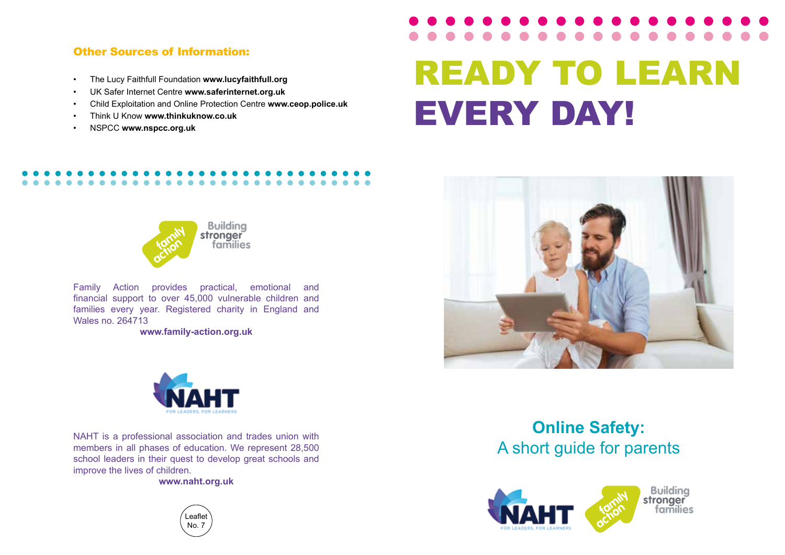### Other Sources of Information:

- The Lucy Faithfull Foundation **www.lucyfaithfull.org**
- UK Safer Internet Centre **www.saferinternet.org.uk**
- Child Exploitation and Online Protection Centre **www.ceop.police.uk**
- Think U Know **www.thinkuknow.co.uk**
- NSPCC **www.nspcc.org.uk**

# READY TO LEARN EVERY DAY!



Family Action provides practical, emotional and financial support to over 45,000 vulnerable children and families every year. Registered charity in England and Wales no. 264713

**www.family-action.org.uk**



NAHT is a professional association and trades union with<br>members in all phases of education. We represent 28,500 A short guide for parents members in all phases of education. We represent 28,500 school leaders in their quest to develop great schools and improve the lives of children.

**www.naht.org.uk**





### **Online Safety:**